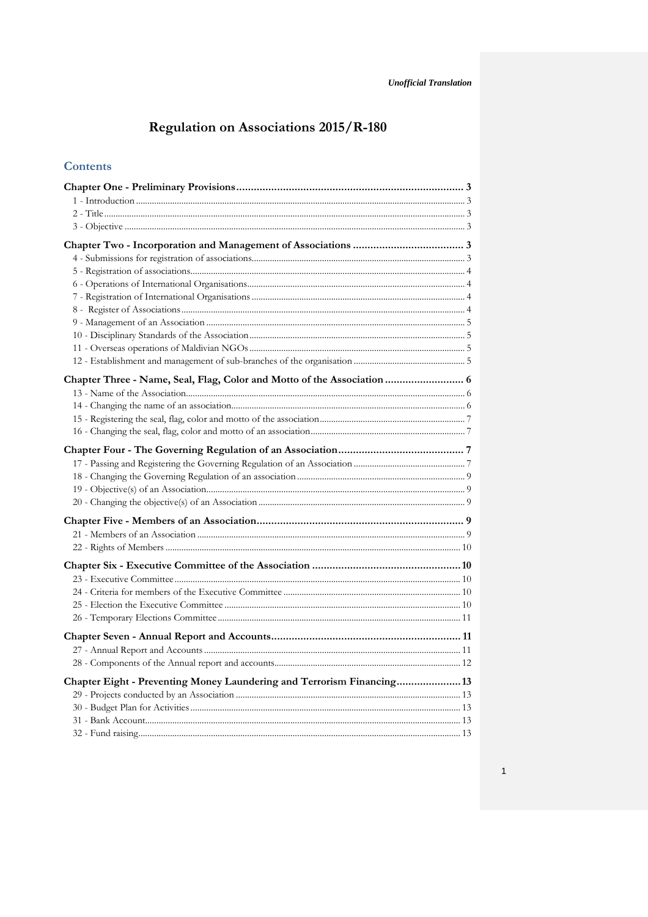# Regulation on Associations 2015/R-180

### **Contents**

| Chapter Eight - Preventing Money Laundering and Terrorism Financing 13 |  |
|------------------------------------------------------------------------|--|
|                                                                        |  |
|                                                                        |  |
|                                                                        |  |
|                                                                        |  |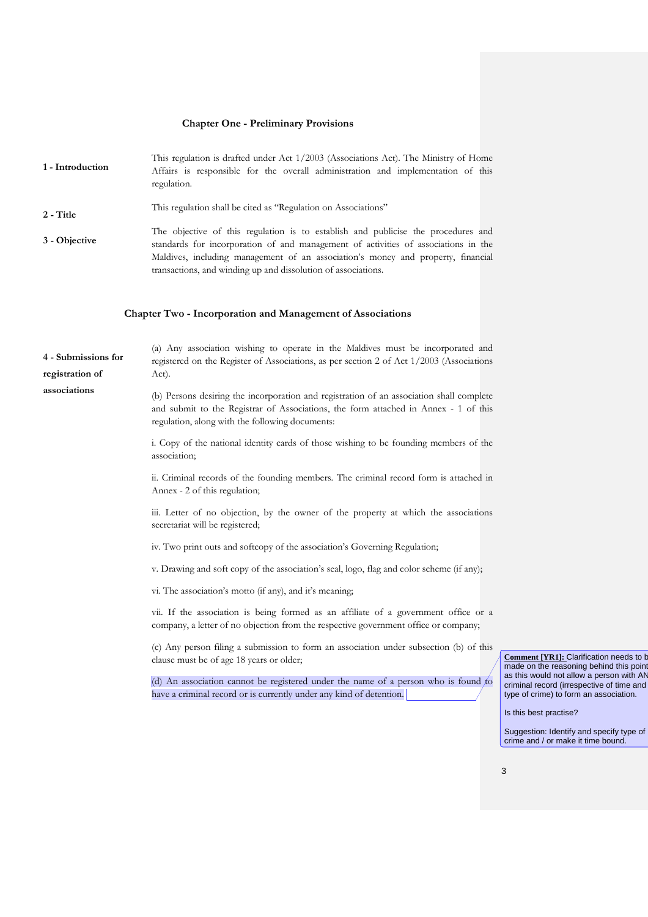#### **Chapter One - Preliminary Provisions**

This regulation is drafted under Act 1/2003 (Associations Act). The Ministry of Home<br>**1 - Introduction** Affairs is responsible for the overall administration and implementation of this Affairs is responsible for the overall administration and implementation of this regulation. **2 - Title** This regulation shall be cited as "Regulation on Associations" **3 - Objective** The objective of this regulation is to establish and publicise the procedures and **3 - Objective** standards for incorporation of and management of activities of associations in the Maldives, including management of an association's money and property, financial transactions, and winding up and dissolution of associations.

#### **Chapter Two - Incorporation and Management of Associations**

| 4 - Submissions for                                                                                                                                                     | (a) Any association wishing to operate in the Maldives must be incorporated and<br>registered on the Register of Associations, as per section 2 of Act 1/2003 (Associations                                                        |                       |  |
|-------------------------------------------------------------------------------------------------------------------------------------------------------------------------|------------------------------------------------------------------------------------------------------------------------------------------------------------------------------------------------------------------------------------|-----------------------|--|
| registration of                                                                                                                                                         | Act).                                                                                                                                                                                                                              |                       |  |
| associations                                                                                                                                                            | (b) Persons desiring the incorporation and registration of an association shall complete<br>and submit to the Registrar of Associations, the form attached in Annex - 1 of this<br>regulation, along with the following documents: |                       |  |
|                                                                                                                                                                         | i. Copy of the national identity cards of those wishing to be founding members of the<br>association;                                                                                                                              |                       |  |
|                                                                                                                                                                         | ii. Criminal records of the founding members. The criminal record form is attached in<br>Annex - 2 of this regulation;                                                                                                             |                       |  |
|                                                                                                                                                                         | iii. Letter of no objection, by the owner of the property at which the associations<br>secretariat will be registered;                                                                                                             |                       |  |
| iv. Two print outs and softcopy of the association's Governing Regulation;<br>v. Drawing and soft copy of the association's seal, logo, flag and color scheme (if any); |                                                                                                                                                                                                                                    |                       |  |
|                                                                                                                                                                         |                                                                                                                                                                                                                                    |                       |  |
|                                                                                                                                                                         | vi. The association's motto (if any), and it's meaning;                                                                                                                                                                            |                       |  |
|                                                                                                                                                                         | vii. If the association is being formed as an affiliate of a government office or a<br>company, a letter of no objection from the respective government office or company;                                                         |                       |  |
|                                                                                                                                                                         | (c) Any person filing a submission to form an association under subsection (b) of this<br>clause must be of age 18 years or older;                                                                                                 | Con<br>mac            |  |
|                                                                                                                                                                         | (d) An association cannot be registered under the name of a person who is found to<br>have a criminal record or is currently under any kind of detention.                                                                          | as tl<br>crim<br>type |  |
|                                                                                                                                                                         |                                                                                                                                                                                                                                    | Is th                 |  |
|                                                                                                                                                                         |                                                                                                                                                                                                                                    | $C_{112}$             |  |

**nment [YR1]: Clarification needs to b** le on the reasoning behind this point his would not allow a person with AN inal record (irrespective of time and of crime) to form an association.

his best practise?

Suggestion: Identify and specify type of crime and / or make it time bound.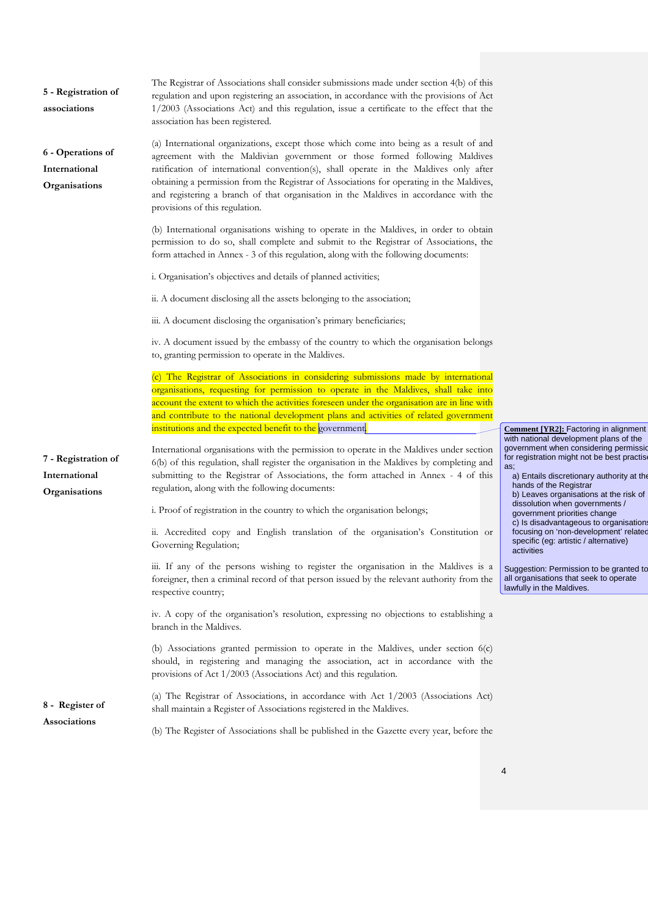| 5 - Registration of<br>associations                 | The Registrar of Associations shall consider submissions made under section 4(b) of this<br>regulation and upon registering an association, in accordance with the provisions of Act<br>1/2003 (Associations Act) and this regulation, issue a certificate to the effect that the<br>association has been registered.                                                                                                                                                               |                                                                                                                                        |
|-----------------------------------------------------|-------------------------------------------------------------------------------------------------------------------------------------------------------------------------------------------------------------------------------------------------------------------------------------------------------------------------------------------------------------------------------------------------------------------------------------------------------------------------------------|----------------------------------------------------------------------------------------------------------------------------------------|
| 6 - Operations of<br>International<br>Organisations | (a) International organizations, except those which come into being as a result of and<br>agreement with the Maldivian government or those formed following Maldives<br>ratification of international convention(s), shall operate in the Maldives only after<br>obtaining a permission from the Registrar of Associations for operating in the Maldives,<br>and registering a branch of that organisation in the Maldives in accordance with the<br>provisions of this regulation. |                                                                                                                                        |
|                                                     | (b) International organisations wishing to operate in the Maldives, in order to obtain<br>permission to do so, shall complete and submit to the Registrar of Associations, the<br>form attached in Annex - 3 of this regulation, along with the following documents:                                                                                                                                                                                                                |                                                                                                                                        |
|                                                     | i. Organisation's objectives and details of planned activities;                                                                                                                                                                                                                                                                                                                                                                                                                     |                                                                                                                                        |
|                                                     | ii. A document disclosing all the assets belonging to the association;                                                                                                                                                                                                                                                                                                                                                                                                              |                                                                                                                                        |
|                                                     | iii. A document disclosing the organisation's primary beneficiaries;                                                                                                                                                                                                                                                                                                                                                                                                                |                                                                                                                                        |
|                                                     | iv. A document issued by the embassy of the country to which the organisation belongs<br>to, granting permission to operate in the Maldives.                                                                                                                                                                                                                                                                                                                                        |                                                                                                                                        |
|                                                     | (c) The Registrar of Associations in considering submissions made by international                                                                                                                                                                                                                                                                                                                                                                                                  |                                                                                                                                        |
|                                                     | organisations, requesting for permission to operate in the Maldives, shall take into                                                                                                                                                                                                                                                                                                                                                                                                |                                                                                                                                        |
|                                                     | account the extent to which the activities foreseen under the organisation are in line with                                                                                                                                                                                                                                                                                                                                                                                         |                                                                                                                                        |
|                                                     | and contribute to the national development plans and activities of related government                                                                                                                                                                                                                                                                                                                                                                                               |                                                                                                                                        |
|                                                     |                                                                                                                                                                                                                                                                                                                                                                                                                                                                                     |                                                                                                                                        |
|                                                     | institutions and the expected benefit to the government.                                                                                                                                                                                                                                                                                                                                                                                                                            | <b>Comment [YR2]:</b> Factoring in alignment<br>with national development plans of the                                                 |
| 7 - Registration of                                 | International organisations with the permission to operate in the Maldives under section                                                                                                                                                                                                                                                                                                                                                                                            | government when considering permissid<br>for registration might not be best practise                                                   |
| International<br>Organisations                      | 6(b) of this regulation, shall register the organisation in the Maldives by completing and<br>submitting to the Registrar of Associations, the form attached in Annex - 4 of this<br>regulation, along with the following documents:                                                                                                                                                                                                                                                | as;<br>a) Entails discretionary authority at the<br>hands of the Registrar<br>b) Leaves organisations at the risk of                   |
|                                                     | i. Proof of registration in the country to which the organisation belongs;                                                                                                                                                                                                                                                                                                                                                                                                          | dissolution when governments /<br>government priorities change                                                                         |
|                                                     | ii. Accredited copy and English translation of the organisation's Constitution or<br>Governing Regulation;                                                                                                                                                                                                                                                                                                                                                                          | c) Is disadvantageous to organisations<br>focusing on 'non-development' related<br>specific (eg: artistic / alternative)<br>activities |
|                                                     | iii. If any of the persons wishing to register the organisation in the Maldives is a<br>foreigner, then a criminal record of that person issued by the relevant authority from the<br>respective country;                                                                                                                                                                                                                                                                           | Suggestion: Permission to be granted to<br>all organisations that seek to operate<br>lawfully in the Maldives.                         |
|                                                     | iv. A copy of the organisation's resolution, expressing no objections to establishing a<br>branch in the Maldives.                                                                                                                                                                                                                                                                                                                                                                  |                                                                                                                                        |
|                                                     | (b) Associations granted permission to operate in the Maldives, under section $6(c)$<br>should, in registering and managing the association, act in accordance with the<br>provisions of Act 1/2003 (Associations Act) and this regulation.                                                                                                                                                                                                                                         |                                                                                                                                        |
| 8 - Register of<br>Associations                     | (a) The Registrar of Associations, in accordance with Act 1/2003 (Associations Act)<br>shall maintain a Register of Associations registered in the Maldives.                                                                                                                                                                                                                                                                                                                        |                                                                                                                                        |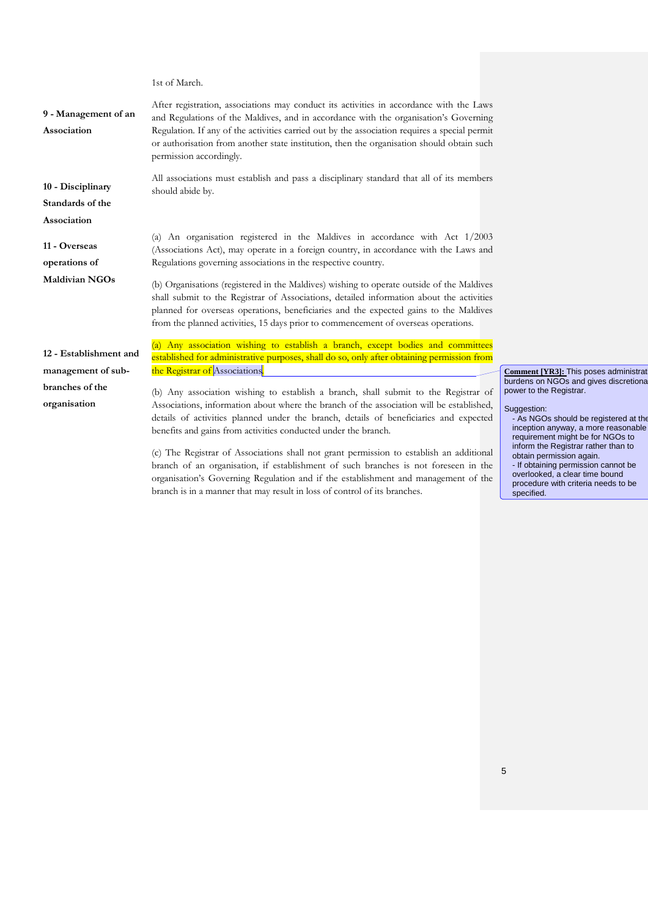**9 - Management of an Association** After registration, associations may conduct its activities in accordance with the Laws and Regulations of the Maldives, and in accordance with the organisation's Governing Regulation. If any of the activities carried out by the association requires a special permit or authorisation from another state institution, then the organisation should obtain such permission accordingly. **10 - Disciplinary Standards of the Association**  All associations must establish and pass a disciplinary standard that all of its members should abide by. **11 - Overseas operations of Maldivian NGOs** (a) An organisation registered in the Maldives in accordance with Act 1/2003 (Associations Act), may operate in a foreign country, in accordance with the Laws and Regulations governing associations in the respective country. (b) Organisations (registered in the Maldives) wishing to operate outside of the Maldives shall submit to the Registrar of Associations, detailed information about the activities planned for overseas operations, beneficiaries and the expected gains to the Maldives from the planned activities, 15 days prior to commencement of overseas operations. **12 - Establishment and management of subbranches of the organisation**  (a) Any association wishing to establish a branch, except bodies and committees established for administrative purposes, shall do so, only after obtaining permission from the Registrar of Associations. (b) Any association wishing to establish a branch, shall submit to the Registrar of Associations, information about where the branch of the association will be established, details of activities planned under the branch, details of beneficiaries and expected benefits and gains from activities conducted under the branch. **Comment [YR3]:** This poses administrati burdens on NGOs and gives discretiona power to the Registrar. Suggestion: requirement might be for NGOs to

1st of March.

(c) The Registrar of Associations shall not grant permission to establish an additional branch of an organisation, if establishment of such branches is not foreseen in the organisation's Governing Regulation and if the establishment and management of the branch is in a manner that may result in loss of control of its branches.

- As NGOs should be registered at the inception anyway, a more reasonable inform the Registrar rather than to obtain permission again. - If obtaining permission cannot be overlooked, a clear time bound procedure with criteria needs to be specified.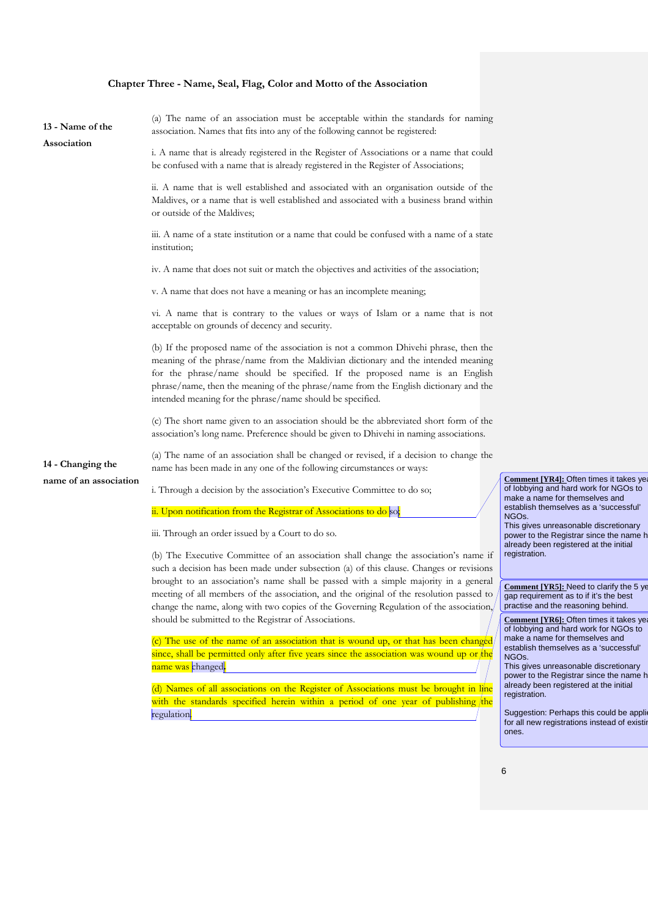#### **Chapter Three - Name, Seal, Flag, Color and Motto of the Association**

| 13 - Name of the<br>Association | (a) The name of an association must be acceptable within the standards for naming<br>association. Names that fits into any of the following cannot be registered:                                                                                                                                                                                                                                             |                                                        |
|---------------------------------|---------------------------------------------------------------------------------------------------------------------------------------------------------------------------------------------------------------------------------------------------------------------------------------------------------------------------------------------------------------------------------------------------------------|--------------------------------------------------------|
|                                 | i. A name that is already registered in the Register of Associations or a name that could<br>be confused with a name that is already registered in the Register of Associations;                                                                                                                                                                                                                              |                                                        |
|                                 | ii. A name that is well established and associated with an organisation outside of the<br>Maldives, or a name that is well established and associated with a business brand within<br>or outside of the Maldives;                                                                                                                                                                                             |                                                        |
|                                 | iii. A name of a state institution or a name that could be confused with a name of a state<br>institution;                                                                                                                                                                                                                                                                                                    |                                                        |
|                                 | iv. A name that does not suit or match the objectives and activities of the association;                                                                                                                                                                                                                                                                                                                      |                                                        |
|                                 | v. A name that does not have a meaning or has an incomplete meaning;                                                                                                                                                                                                                                                                                                                                          |                                                        |
|                                 | vi. A name that is contrary to the values or ways of Islam or a name that is not<br>acceptable on grounds of decency and security.                                                                                                                                                                                                                                                                            |                                                        |
|                                 | (b) If the proposed name of the association is not a common Dhivehi phrase, then the<br>meaning of the phrase/name from the Maldivian dictionary and the intended meaning<br>for the phrase/name should be specified. If the proposed name is an English<br>phrase/name, then the meaning of the phrase/name from the English dictionary and the<br>intended meaning for the phrase/name should be specified. |                                                        |
|                                 | (c) The short name given to an association should be the abbreviated short form of the<br>association's long name. Preference should be given to Dhivehi in naming associations.                                                                                                                                                                                                                              |                                                        |
| 14 - Changing the               | (a) The name of an association shall be changed or revised, if a decision to change the<br>name has been made in any one of the following circumstances or ways:                                                                                                                                                                                                                                              |                                                        |
| name of an association          | i. Through a decision by the association's Executive Committee to do so;                                                                                                                                                                                                                                                                                                                                      | <b>Comment</b> [YR4<br>of lobbying and<br>make a name  |
|                                 | ii. Upon notification from the Registrar of Associations to do so;                                                                                                                                                                                                                                                                                                                                            | establish them<br>NGO <sub>s.</sub><br>This gives unre |

iii. Through an order issued by a Court to do so.

(b) The Executive Committee of an association shall change the association's name if such a decision has been made under subsection (a) of this clause. Changes or revisions brought to an association's name shall be passed with a simple majority in a general meeting of all members of the association, and the original of the resolution passed to change the name, along with two copies of the Governing Regulation of the association, should be submitted to the Registrar of Associations.

 $(c)$  The use of the name of an association that is wound up, or that has been changed since, shall be permitted only after five years since the association was wound up or name was changed**.** 

(d) Names of all associations on the Register of Associations must be brought in l with the standards specified herein within a period of one year of publishing the regulation.

**41: Often times it takes ye** I hard work for NGOs to for themselves and selves as a 'successful'

This gives unreasonable discretionary power to the Registrar since the name h already been registered at the initial registration.

**Comment [YR5]:** Need to clarify the 5 ye gap requirement as to if it's the best practise and the reasoning behind.

**Comment [YR6]: Often times it takes year** of lobbying and hard work for NGOs to make a name for themselves and establish themselves as a 'successful' NGOs.

This gives unreasonable discretionary power to the Registrar since the name h already been registered at the initial registration.

Suggestion: Perhaps this could be applifor all new registrations instead of existin ones.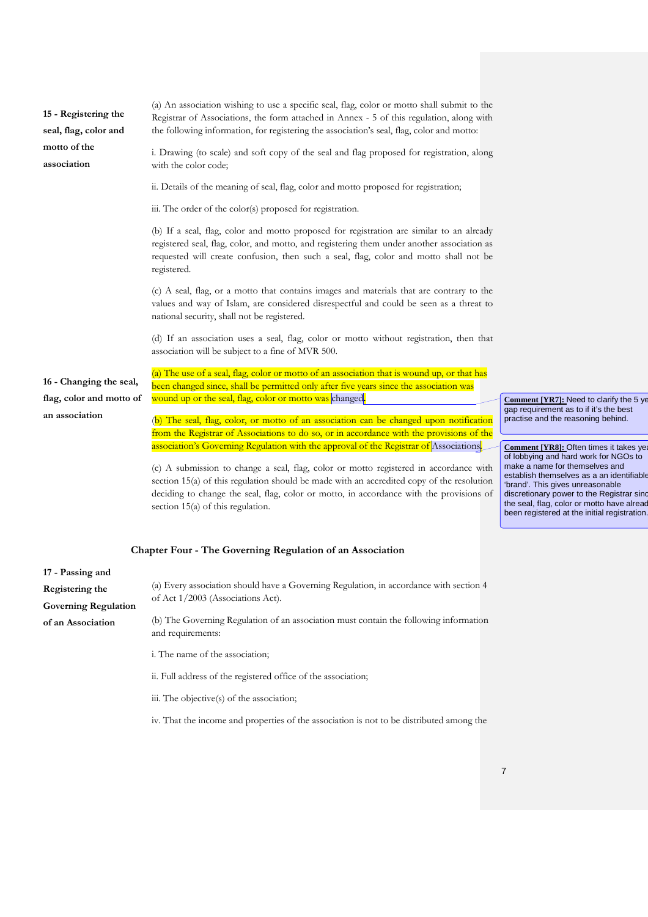| 15 - Registering the<br>seal, flag, color and<br>motto of the<br>association | (a) An association wishing to use a specific seal, flag, color or motto shall submit to the<br>Registrar of Associations, the form attached in Annex - 5 of this regulation, along with<br>the following information, for registering the association's seal, flag, color and motto:<br>i. Drawing (to scale) and soft copy of the seal and flag proposed for registration, along<br>with the color code;      |                                                                                                                                                                                                                                                                                                                                                |
|------------------------------------------------------------------------------|----------------------------------------------------------------------------------------------------------------------------------------------------------------------------------------------------------------------------------------------------------------------------------------------------------------------------------------------------------------------------------------------------------------|------------------------------------------------------------------------------------------------------------------------------------------------------------------------------------------------------------------------------------------------------------------------------------------------------------------------------------------------|
|                                                                              | ii. Details of the meaning of seal, flag, color and motto proposed for registration;                                                                                                                                                                                                                                                                                                                           |                                                                                                                                                                                                                                                                                                                                                |
|                                                                              | iii. The order of the color(s) proposed for registration.                                                                                                                                                                                                                                                                                                                                                      |                                                                                                                                                                                                                                                                                                                                                |
|                                                                              | (b) If a seal, flag, color and motto proposed for registration are similar to an already<br>registered seal, flag, color, and motto, and registering them under another association as<br>requested will create confusion, then such a seal, flag, color and motto shall not be<br>registered.                                                                                                                 |                                                                                                                                                                                                                                                                                                                                                |
|                                                                              | (c) A seal, flag, or a motto that contains images and materials that are contrary to the<br>values and way of Islam, are considered disrespectful and could be seen as a threat to<br>national security, shall not be registered.                                                                                                                                                                              |                                                                                                                                                                                                                                                                                                                                                |
|                                                                              | (d) If an association uses a seal, flag, color or motto without registration, then that<br>association will be subject to a fine of MVR 500.                                                                                                                                                                                                                                                                   |                                                                                                                                                                                                                                                                                                                                                |
| 16 - Changing the seal,                                                      | (a) The use of a seal, flag, color or motto of an association that is wound up, or that has<br>been changed since, shall be permitted only after five years since the association was                                                                                                                                                                                                                          |                                                                                                                                                                                                                                                                                                                                                |
| flag, color and motto of<br>an association                                   | wound up or the seal, flag, color or motto was changed.<br>(b) The seal, flag, color, or motto of an association can be changed upon notification<br>from the Registrar of Associations to do so, or in accordance with the provisions of the                                                                                                                                                                  | Comment [YR7]: Need to clarify the 5 ye<br>gap requirement as to if it's the best<br>practise and the reasoning behind.                                                                                                                                                                                                                        |
|                                                                              | association's Governing Regulation with the approval of the Registrar of Associations.<br>(c) A submission to change a seal, flag, color or motto registered in accordance with<br>section 15(a) of this regulation should be made with an accredited copy of the resolution<br>deciding to change the seal, flag, color or motto, in accordance with the provisions of<br>section $15(a)$ of this regulation. | Comment [YR8]: Often times it takes yea<br>of lobbying and hard work for NGOs to<br>make a name for themselves and<br>establish themselves as a an identifiable<br>'brand'. This gives unreasonable<br>discretionary power to the Registrar sind<br>the seal, flag, color or motto have alread<br>been registered at the initial registration. |

| 17 - Passing and            |                                                                                                            |
|-----------------------------|------------------------------------------------------------------------------------------------------------|
| Registering the             | (a) Every association should have a Governing Regulation, in accordance with section 4                     |
| <b>Governing Regulation</b> | of Act 1/2003 (Associations Act).                                                                          |
| of an Association           | (b) The Governing Regulation of an association must contain the following information<br>and requirements: |
|                             | i. The name of the association;                                                                            |
|                             | ii. Full address of the registered office of the association;                                              |
|                             | iii. The objective(s) of the association;                                                                  |

**Chapter Four - The Governing Regulation of an Association**

iv. That the income and properties of the association is not to be distributed among the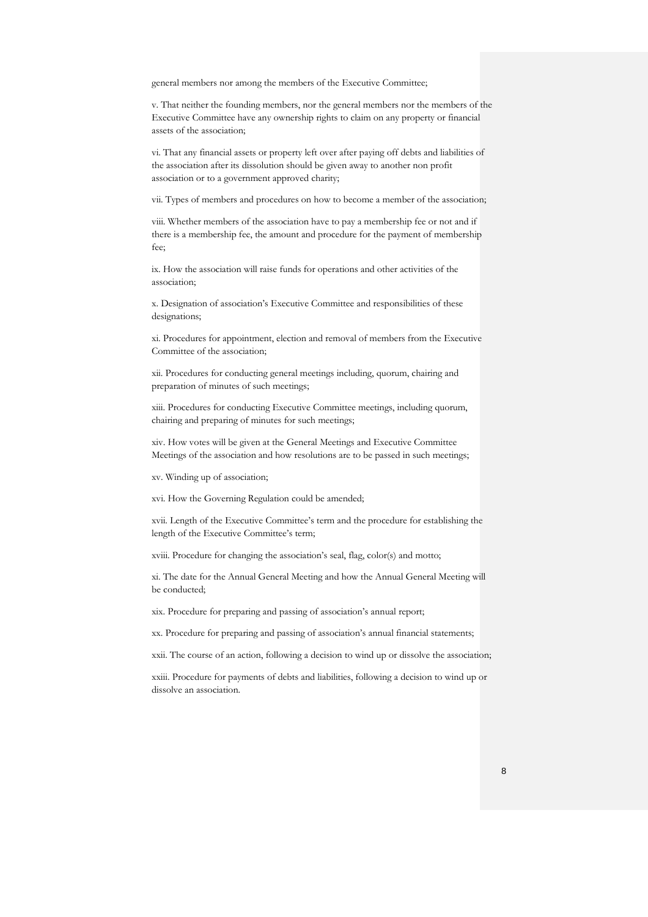general members nor among the members of the Executive Committee;

v. That neither the founding members, nor the general members nor the members of the Executive Committee have any ownership rights to claim on any property or financial assets of the association;

vi. That any financial assets or property left over after paying off debts and liabilities of the association after its dissolution should be given away to another non profit association or to a government approved charity;

vii. Types of members and procedures on how to become a member of the association;

viii. Whether members of the association have to pay a membership fee or not and if there is a membership fee, the amount and procedure for the payment of membership fee;

ix. How the association will raise funds for operations and other activities of the association;

x. Designation of association's Executive Committee and responsibilities of these designations;

xi. Procedures for appointment, election and removal of members from the Executive Committee of the association;

xii. Procedures for conducting general meetings including, quorum, chairing and preparation of minutes of such meetings;

xiii. Procedures for conducting Executive Committee meetings, including quorum, chairing and preparing of minutes for such meetings;

xiv. How votes will be given at the General Meetings and Executive Committee Meetings of the association and how resolutions are to be passed in such meetings;

xv. Winding up of association;

xvi. How the Governing Regulation could be amended;

xvii. Length of the Executive Committee's term and the procedure for establishing the length of the Executive Committee's term;

xviii. Procedure for changing the association's seal, flag, color(s) and motto;

xi. The date for the Annual General Meeting and how the Annual General Meeting will be conducted;

xix. Procedure for preparing and passing of association's annual report;

xx. Procedure for preparing and passing of association's annual financial statements;

xxii. The course of an action, following a decision to wind up or dissolve the association;

xxiii. Procedure for payments of debts and liabilities, following a decision to wind up or dissolve an association.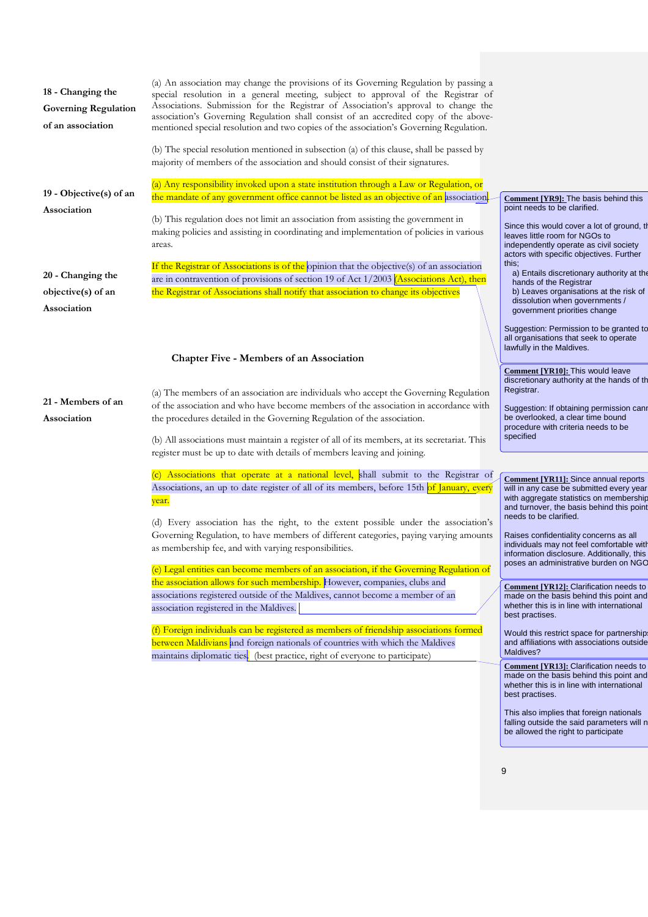| 18 - Changing the<br><b>Governing Regulation</b><br>of an association | (a) An association may change the provisions of its Governing Regulation by passing a<br>special resolution in a general meeting, subject to approval of the Registrar of<br>Associations. Submission for the Registrar of Association's approval to change the<br>association's Governing Regulation shall consist of an accredited copy of the above-<br>mentioned special resolution and two copies of the association's Governing Regulation. |                                                                                                                                                                                                                             |
|-----------------------------------------------------------------------|---------------------------------------------------------------------------------------------------------------------------------------------------------------------------------------------------------------------------------------------------------------------------------------------------------------------------------------------------------------------------------------------------------------------------------------------------|-----------------------------------------------------------------------------------------------------------------------------------------------------------------------------------------------------------------------------|
|                                                                       | (b) The special resolution mentioned in subsection (a) of this clause, shall be passed by<br>majority of members of the association and should consist of their signatures.                                                                                                                                                                                                                                                                       |                                                                                                                                                                                                                             |
|                                                                       | (a) Any responsibility invoked upon a state institution through a Law or Regulation, or                                                                                                                                                                                                                                                                                                                                                           |                                                                                                                                                                                                                             |
| 19 - Objective $(s)$ of an<br>Association                             | the mandate of any government office cannot be listed as an objective of an association.                                                                                                                                                                                                                                                                                                                                                          | Comment [YR9]: The basis behind this<br>point needs to be clarified.                                                                                                                                                        |
|                                                                       | (b) This regulation does not limit an association from assisting the government in<br>making policies and assisting in coordinating and implementation of policies in various<br>areas.                                                                                                                                                                                                                                                           | Since this would cover a lot of ground, the<br>leaves little room for NGOs to<br>independently operate as civil society<br>actors with specific objectives. Further                                                         |
|                                                                       | If the Registrar of Associations is of the opinion that the objective(s) of an association                                                                                                                                                                                                                                                                                                                                                        | this;                                                                                                                                                                                                                       |
| 20 - Changing the<br>objective(s) of an                               | are in contravention of provisions of section 19 of Act 1/2003 (Associations Act), then<br>the Registrar of Associations shall notify that association to change its objectives                                                                                                                                                                                                                                                                   | a) Entails discretionary authority at the<br>hands of the Registrar<br>b) Leaves organisations at the risk of                                                                                                               |
| Association                                                           |                                                                                                                                                                                                                                                                                                                                                                                                                                                   | dissolution when governments /<br>government priorities change                                                                                                                                                              |
|                                                                       |                                                                                                                                                                                                                                                                                                                                                                                                                                                   | Suggestion: Permission to be granted to<br>all organisations that seek to operate<br>lawfully in the Maldives.                                                                                                              |
|                                                                       | <b>Chapter Five - Members of an Association</b>                                                                                                                                                                                                                                                                                                                                                                                                   |                                                                                                                                                                                                                             |
| 21 - Members of an<br>Association                                     | (a) The members of an association are individuals who accept the Governing Regulation<br>of the association and who have become members of the association in accordance with<br>the procedures detailed in the Governing Regulation of the association.                                                                                                                                                                                          | <b>Comment [YR10]:</b> This would leave<br>discretionary authority at the hands of th<br>Registrar.<br>Suggestion: If obtaining permission canr<br>be overlooked, a clear time bound<br>procedure with criteria needs to be |
|                                                                       | (b) All associations must maintain a register of all of its members, at its secretariat. This                                                                                                                                                                                                                                                                                                                                                     | specified                                                                                                                                                                                                                   |
|                                                                       | register must be up to date with details of members leaving and joining.                                                                                                                                                                                                                                                                                                                                                                          |                                                                                                                                                                                                                             |
|                                                                       | (c) Associations that operate at a national level, shall submit to the Registrar of<br>Associations, an up to date register of all of its members, before 15th of January, eyery<br>year.                                                                                                                                                                                                                                                         | <b>Comment [YR11]:</b> Since annual reports<br>will in any case be submitted every year<br>with aggregate statistics on membership<br>and turnover, the basis behind this point<br>needs to be clarified.                   |
|                                                                       | (d) Every association has the right, to the extent possible under the association's<br>Governing Regulation, to have members of different categories, paying varying amounts                                                                                                                                                                                                                                                                      |                                                                                                                                                                                                                             |
|                                                                       | as membership fee, and with varying responsibilities.                                                                                                                                                                                                                                                                                                                                                                                             | Raises confidentiality concerns as all<br>individuals may not feel comfortable with<br>information disclosure. Additionally, this                                                                                           |
|                                                                       | (e) Legal entities can become members of an association, if the Governing Regulation of                                                                                                                                                                                                                                                                                                                                                           | poses an administrative burden on NGO                                                                                                                                                                                       |
|                                                                       | the association allows for such membership. However, companies, clubs and                                                                                                                                                                                                                                                                                                                                                                         | Comment [YR12]: Clarification needs to                                                                                                                                                                                      |
|                                                                       | associations registered outside of the Maldives, cannot become a member of an<br>association registered in the Maldives.                                                                                                                                                                                                                                                                                                                          | made on the basis behind this point and<br>whether this is in line with international<br>best practises.                                                                                                                    |
|                                                                       | (f) Foreign individuals can be registered as members of friendship associations formed<br>between Maldivians and foreign nationals of countries with which the Maldives                                                                                                                                                                                                                                                                           | Would this restrict space for partnerships<br>and affiliations with associations outside                                                                                                                                    |
|                                                                       | maintains diplomatic ties. (best practice, right of everyone to participate)                                                                                                                                                                                                                                                                                                                                                                      | Maldives?                                                                                                                                                                                                                   |

**Comment [YR13]:** Clarification needs to made on the basis behind this point and whether this is in line with international best practises.

This also implies that foreign nationals falling outside the said parameters will n be allowed the right to participate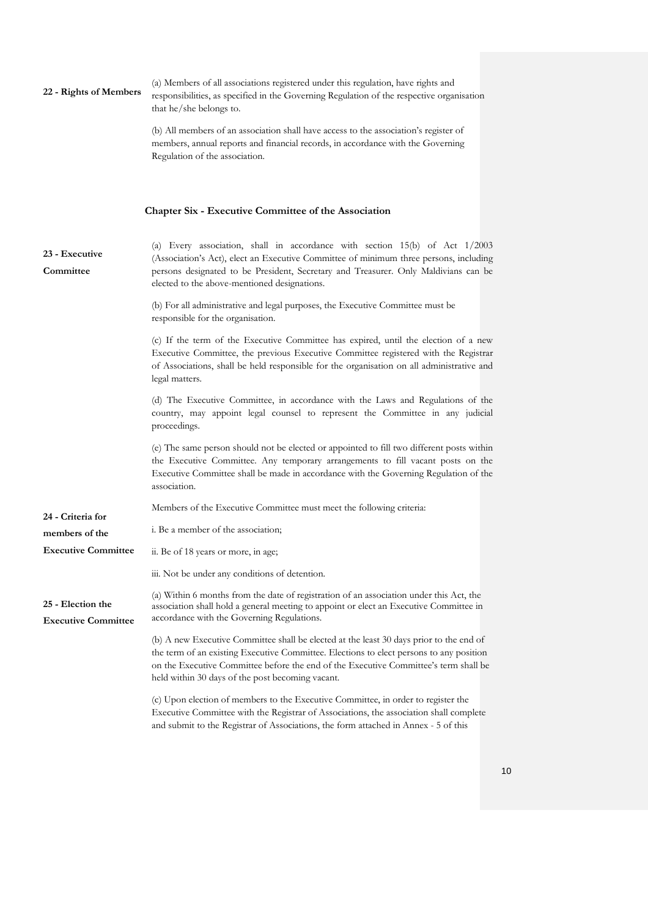| 22 - Rights of Members                          | (a) Members of all associations registered under this regulation, have rights and<br>responsibilities, as specified in the Governing Regulation of the respective organisation<br>that he/she belongs to.                                                                                                                      |
|-------------------------------------------------|--------------------------------------------------------------------------------------------------------------------------------------------------------------------------------------------------------------------------------------------------------------------------------------------------------------------------------|
|                                                 | (b) All members of an association shall have access to the association's register of<br>members, annual reports and financial records, in accordance with the Governing<br>Regulation of the association.                                                                                                                      |
|                                                 | <b>Chapter Six - Executive Committee of the Association</b>                                                                                                                                                                                                                                                                    |
| 23 - Executive<br>Committee                     | (a) Every association, shall in accordance with section 15(b) of Act 1/2003<br>(Association's Act), elect an Executive Committee of minimum three persons, including<br>persons designated to be President, Secretary and Treasurer. Only Maldivians can be<br>elected to the above-mentioned designations.                    |
|                                                 | (b) For all administrative and legal purposes, the Executive Committee must be<br>responsible for the organisation.                                                                                                                                                                                                            |
|                                                 | (c) If the term of the Executive Committee has expired, until the election of a new<br>Executive Committee, the previous Executive Committee registered with the Registrar<br>of Associations, shall be held responsible for the organisation on all administrative and<br>legal matters.                                      |
|                                                 | (d) The Executive Committee, in accordance with the Laws and Regulations of the<br>country, may appoint legal counsel to represent the Committee in any judicial<br>proceedings.                                                                                                                                               |
|                                                 | (e) The same person should not be elected or appointed to fill two different posts within<br>the Executive Committee. Any temporary arrangements to fill vacant posts on the<br>Executive Committee shall be made in accordance with the Governing Regulation of the<br>association.                                           |
| 24 - Criteria for                               | Members of the Executive Committee must meet the following criteria:                                                                                                                                                                                                                                                           |
| members of the                                  | i. Be a member of the association;                                                                                                                                                                                                                                                                                             |
| <b>Executive Committee</b>                      | ii. Be of 18 years or more, in age;                                                                                                                                                                                                                                                                                            |
|                                                 | iii. Not be under any conditions of detention.                                                                                                                                                                                                                                                                                 |
| 25 - Election the<br><b>Executive Committee</b> | (a) Within 6 months from the date of registration of an association under this Act, the<br>association shall hold a general meeting to appoint or elect an Executive Committee in<br>accordance with the Governing Regulations.                                                                                                |
|                                                 | (b) A new Executive Committee shall be elected at the least 30 days prior to the end of<br>the term of an existing Executive Committee. Elections to elect persons to any position<br>on the Executive Committee before the end of the Executive Committee's term shall be<br>held within 30 days of the post becoming vacant. |
|                                                 | (c) Upon election of members to the Executive Committee, in order to register the<br>Executive Committee with the Registrar of Associations, the association shall complete<br>and submit to the Registrar of Associations, the form attached in Annex - 5 of this                                                             |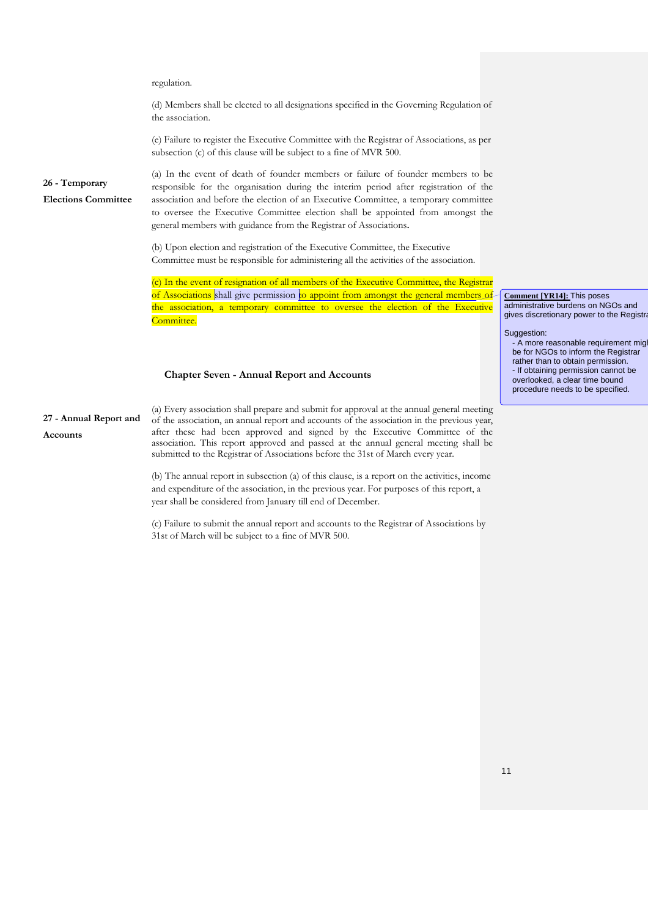|                                              | regulation.                                                                                                                                                                                                                                                                                                                                                                                                                                     |                                                                                                                                                                                                                                              |
|----------------------------------------------|-------------------------------------------------------------------------------------------------------------------------------------------------------------------------------------------------------------------------------------------------------------------------------------------------------------------------------------------------------------------------------------------------------------------------------------------------|----------------------------------------------------------------------------------------------------------------------------------------------------------------------------------------------------------------------------------------------|
|                                              | (d) Members shall be elected to all designations specified in the Governing Regulation of<br>the association.                                                                                                                                                                                                                                                                                                                                   |                                                                                                                                                                                                                                              |
|                                              | (e) Failure to register the Executive Committee with the Registrar of Associations, as per<br>subsection (c) of this clause will be subject to a fine of MVR 500.                                                                                                                                                                                                                                                                               |                                                                                                                                                                                                                                              |
| 26 - Temporary<br><b>Elections Committee</b> | (a) In the event of death of founder members or failure of founder members to be<br>responsible for the organisation during the interim period after registration of the<br>association and before the election of an Executive Committee, a temporary committee<br>to oversee the Executive Committee election shall be appointed from amongst the<br>general members with guidance from the Registrar of Associations.                        |                                                                                                                                                                                                                                              |
|                                              | (b) Upon election and registration of the Executive Committee, the Executive<br>Committee must be responsible for administering all the activities of the association.                                                                                                                                                                                                                                                                          |                                                                                                                                                                                                                                              |
|                                              | (c) In the event of resignation of all members of the Executive Committee, the Registrar<br>of Associations shall give permission to appoint from amongst the general members of<br>the association, a temporary committee to oversee the election of the Executive<br>Committee.                                                                                                                                                               | <b>Comment [YR14]: This poses</b><br>administrative burdens on NGOs and<br>gives discretionary power to the Registra                                                                                                                         |
|                                              | <b>Chapter Seven - Annual Report and Accounts</b>                                                                                                                                                                                                                                                                                                                                                                                               | Suggestion:<br>- A more reasonable requirement migl<br>be for NGOs to inform the Registrar<br>rather than to obtain permission.<br>- If obtaining permission cannot be<br>overlooked, a clear time bound<br>procedure needs to be specified. |
| 27 - Annual Report and<br>Accounts           | (a) Every association shall prepare and submit for approval at the annual general meeting<br>of the association, an annual report and accounts of the association in the previous year,<br>after these had been approved and signed by the Executive Committee of the<br>association. This report approved and passed at the annual general meeting shall be<br>submitted to the Registrar of Associations before the 31st of March every year. |                                                                                                                                                                                                                                              |
|                                              | (b) The annual report in subsection (a) of this clause, is a report on the activities, income<br>and expenditure of the association, in the previous year. For purposes of this report, a<br>year shall be considered from January till end of December.                                                                                                                                                                                        |                                                                                                                                                                                                                                              |

(c) Failure to submit the annual report and accounts to the Registrar of Associations by 31st of March will be subject to a fine of MVR 500.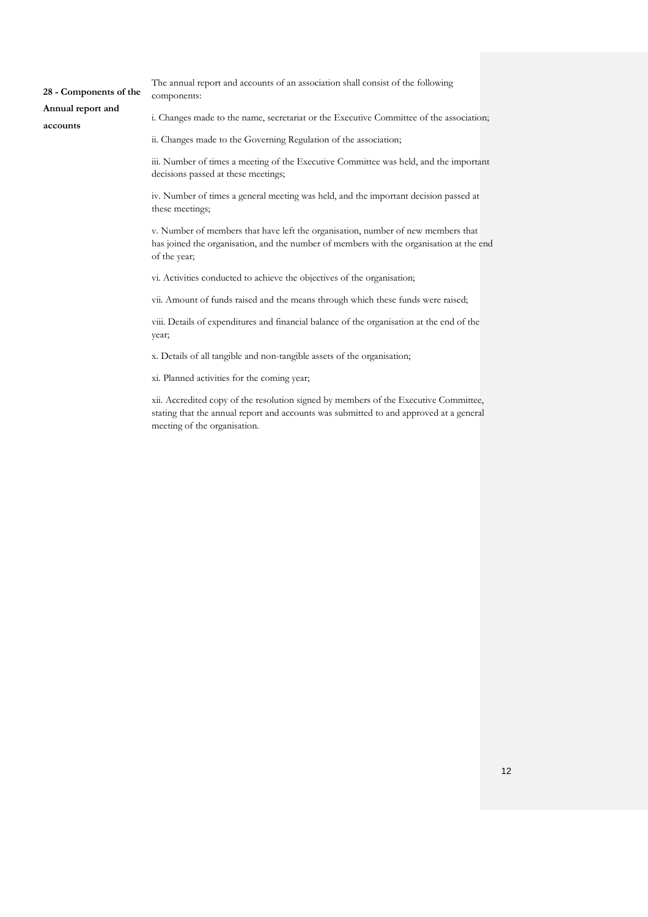**28 - Components of the Annual report and accounts**  The annual report and accounts of an association shall consist of the following components: i. Changes made to the name, secretariat or the Executive Committee of the association; ii. Changes made to the Governing Regulation of the association;

> iii. Number of times a meeting of the Executive Committee was held, and the important decisions passed at these meetings;

iv. Number of times a general meeting was held, and the important decision passed at these meetings;

v. Number of members that have left the organisation, number of new members that has joined the organisation, and the number of members with the organisation at the end of the year;

vi. Activities conducted to achieve the objectives of the organisation;

vii. Amount of funds raised and the means through which these funds were raised;

viii. Details of expenditures and financial balance of the organisation at the end of the year;

x. Details of all tangible and non-tangible assets of the organisation;

xi. Planned activities for the coming year;

xii. Accredited copy of the resolution signed by members of the Executive Committee, stating that the annual report and accounts was submitted to and approved at a general meeting of the organisation.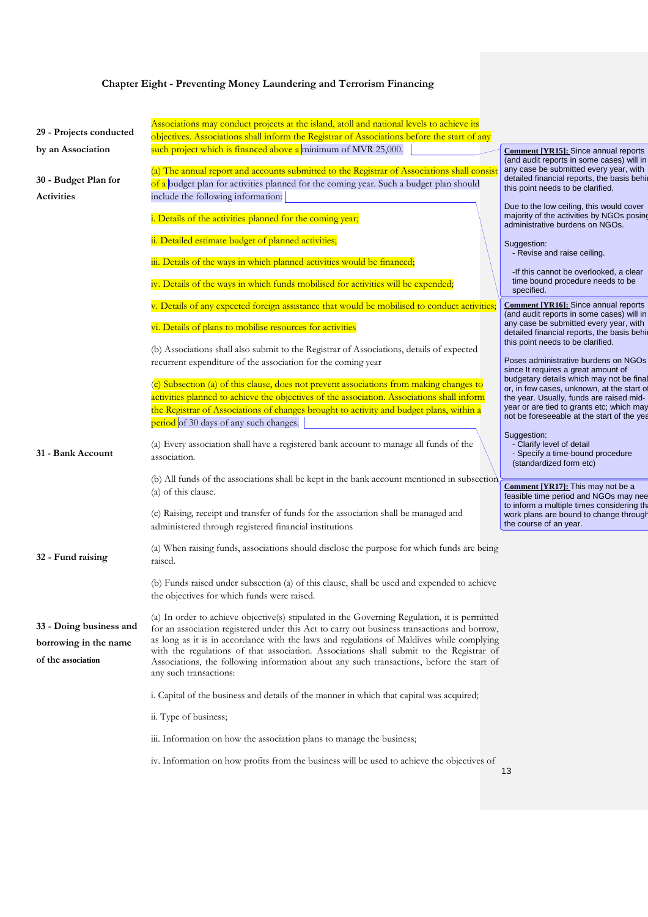|                                                                        | <b>Chapter Eight - Preventing Money Laundering and Terrorism Financing</b>                                                                                                                                                                                                                                                                                                                                                                                                                               |                                                                                                                           |
|------------------------------------------------------------------------|----------------------------------------------------------------------------------------------------------------------------------------------------------------------------------------------------------------------------------------------------------------------------------------------------------------------------------------------------------------------------------------------------------------------------------------------------------------------------------------------------------|---------------------------------------------------------------------------------------------------------------------------|
| 29 - Projects conducted                                                | Associations may conduct projects at the island, atoll and national levels to achieve its                                                                                                                                                                                                                                                                                                                                                                                                                |                                                                                                                           |
|                                                                        | objectives. Associations shall inform the Registrar of Associations before the start of any                                                                                                                                                                                                                                                                                                                                                                                                              |                                                                                                                           |
| by an Association                                                      | such project which is financed above a minimum of MVR 25,000.                                                                                                                                                                                                                                                                                                                                                                                                                                            | Comment [YR15]: Since annual reports<br>(and audit reports in some cases) will in                                         |
| 30 - Budget Plan for                                                   | (a) The annual report and accounts submitted to the Registrar of Associations shall consis                                                                                                                                                                                                                                                                                                                                                                                                               | any case be submitted every year, with<br>detailed financial reports, the basis behi                                      |
|                                                                        | of a budget plan for activities planned for the coming year. Such a budget plan should                                                                                                                                                                                                                                                                                                                                                                                                                   | this point needs to be clarified.                                                                                         |
| <b>Activities</b>                                                      | include the following information:                                                                                                                                                                                                                                                                                                                                                                                                                                                                       | Due to the low ceiling, this would cover                                                                                  |
|                                                                        | i. Details of the activities planned for the coming year;                                                                                                                                                                                                                                                                                                                                                                                                                                                | majority of the activities by NGOs posing<br>administrative burdens on NGOs.                                              |
|                                                                        | ii. Detailed estimate budget of planned activities;                                                                                                                                                                                                                                                                                                                                                                                                                                                      | Suggestion:<br>- Revise and raise ceiling.                                                                                |
|                                                                        | iii. Details of the ways in which planned activities would be financed;                                                                                                                                                                                                                                                                                                                                                                                                                                  | -If this cannot be overlooked, a clear                                                                                    |
|                                                                        | iv. Details of the ways in which funds mobilised for activities will be expended;                                                                                                                                                                                                                                                                                                                                                                                                                        | time bound procedure needs to be<br>specified.                                                                            |
|                                                                        | v. Details of any expected foreign assistance that would be mobilised to conduct activities;                                                                                                                                                                                                                                                                                                                                                                                                             | Comment [YR16]: Since annual reports<br>(and audit reports in some cases) will in                                         |
|                                                                        | vi. Details of plans to mobilise resources for activities                                                                                                                                                                                                                                                                                                                                                                                                                                                | any case be submitted every year, with<br>detailed financial reports, the basis behi<br>this point needs to be clarified. |
|                                                                        | (b) Associations shall also submit to the Registrar of Associations, details of expected                                                                                                                                                                                                                                                                                                                                                                                                                 |                                                                                                                           |
|                                                                        | recurrent expenditure of the association for the coming year                                                                                                                                                                                                                                                                                                                                                                                                                                             | Poses administrative burdens on NGOs<br>since It requires a great amount of                                               |
|                                                                        | (c) Subsection (a) of this clause, does not prevent associations from making changes to                                                                                                                                                                                                                                                                                                                                                                                                                  | budgetary details which may not be final                                                                                  |
|                                                                        | activities planned to achieve the objectives of the association. Associations shall inform                                                                                                                                                                                                                                                                                                                                                                                                               | or, in few cases, unknown, at the start of<br>the year. Usually, funds are raised mid-                                    |
|                                                                        | the Registrar of Associations of changes brought to activity and budget plans, within a<br>period of 30 days of any such changes.                                                                                                                                                                                                                                                                                                                                                                        | year or are tied to grants etc; which may<br>not be foreseeable at the start of the yea                                   |
| 31 - Bank Account                                                      | (a) Every association shall have a registered bank account to manage all funds of the<br>association.                                                                                                                                                                                                                                                                                                                                                                                                    | Suggestion:<br>- Clarify level of detail<br>- Specify a time-bound procedure<br>(standardized form etc)                   |
|                                                                        | (b) All funds of the associations shall be kept in the bank account mentioned in subsection                                                                                                                                                                                                                                                                                                                                                                                                              |                                                                                                                           |
|                                                                        | (a) of this clause.                                                                                                                                                                                                                                                                                                                                                                                                                                                                                      | Comment [YR17]: This may not be a<br>feasible time period and NGOs may nee                                                |
|                                                                        | (c) Raising, receipt and transfer of funds for the association shall be managed and<br>administered through registered financial institutions                                                                                                                                                                                                                                                                                                                                                            | to inform a multiple times considering the<br>work plans are bound to change through<br>the course of an year.            |
| 32 - Fund raising                                                      | (a) When raising funds, associations should disclose the purpose for which funds are being<br>raised.                                                                                                                                                                                                                                                                                                                                                                                                    |                                                                                                                           |
|                                                                        | (b) Funds raised under subsection (a) of this clause, shall be used and expended to achieve<br>the objectives for which funds were raised.                                                                                                                                                                                                                                                                                                                                                               |                                                                                                                           |
| 33 - Doing business and<br>borrowing in the name<br>of the association | (a) In order to achieve objective(s) stipulated in the Governing Regulation, it is permitted<br>for an association registered under this Act to carry out business transactions and borrow,<br>as long as it is in accordance with the laws and regulations of Maldives while complying<br>with the regulations of that association. Associations shall submit to the Registrar of<br>Associations, the following information about any such transactions, before the start of<br>any such transactions: |                                                                                                                           |
|                                                                        | i. Capital of the business and details of the manner in which that capital was acquired;                                                                                                                                                                                                                                                                                                                                                                                                                 |                                                                                                                           |
|                                                                        | ii. Type of business;                                                                                                                                                                                                                                                                                                                                                                                                                                                                                    |                                                                                                                           |
|                                                                        | iii. Information on how the association plans to manage the business;                                                                                                                                                                                                                                                                                                                                                                                                                                    |                                                                                                                           |
|                                                                        | iv. Information on how profits from the business will be used to achieve the objectives of                                                                                                                                                                                                                                                                                                                                                                                                               | 13                                                                                                                        |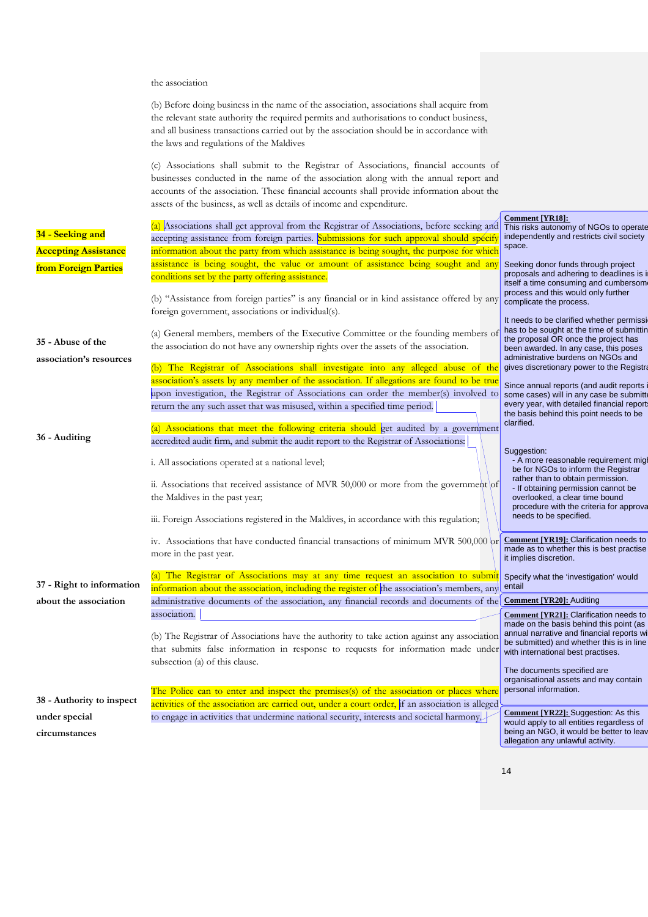#### the association

| (b) Before doing business in the name of the association, associations shall acquire from |
|-------------------------------------------------------------------------------------------|
| the relevant state authority the required permits and authorisations to conduct business, |
| and all business transactions carried out by the association should be in accordance with |
| the laws and regulations of the Maldives                                                  |

(c) Associations shall submit to the Registrar of Associations, financial accounts of businesses conducted in the name of the association along with the annual report and accounts of the association. These financial accounts shall provide information about the assets of the business, as well as details of income and expenditure.

| 34 - Seeking and<br><b>Accepting Assistance</b>    | (a) Associations shall get approval from the Registrar of Associations, before seeking and<br>accepting assistance from foreign parties. Submissions for such approval should specif<br>information about the party from which assistance is being sought, the purpose for which                                                                           | <b>Comment [YR18]:</b><br>This risks autonomy of NGOs to operate<br>independently and restricts civil society<br>space.                                                                                                                                                       |
|----------------------------------------------------|------------------------------------------------------------------------------------------------------------------------------------------------------------------------------------------------------------------------------------------------------------------------------------------------------------------------------------------------------------|-------------------------------------------------------------------------------------------------------------------------------------------------------------------------------------------------------------------------------------------------------------------------------|
| from Foreign Parties                               | assistance is being sought, the value or amount of assistance being sought and any<br>conditions set by the party offering assistance.<br>(b) "Assistance from foreign parties" is any financial or in kind assistance offered by any                                                                                                                      | Seeking donor funds through project<br>proposals and adhering to deadlines is in<br>itself a time consuming and cumbersom<br>process and this would only further<br>complicate the process.                                                                                   |
| 35 - Abuse of the<br>association's resources       | foreign government, associations or individual(s).<br>(a) General members, members of the Executive Committee or the founding members of<br>the association do not have any ownership rights over the assets of the association.<br>(b) The Registrar of Associations shall investigate into any alleged abuse of the                                      | It needs to be clarified whether permissi<br>has to be sought at the time of submittin<br>the proposal OR once the project has<br>been awarded. In any case, this poses<br>administrative burdens on NGOs and<br>gives discretionary power to the Registra                    |
|                                                    | association's assets by any member of the association. If allegations are found to be true<br>upon investigation, the Registrar of Associations can order the member(s) involved to<br>return the any such asset that was misused, within a specified time period.<br>(a) Associations that meet the following criteria should get audited by a government | Since annual reports (and audit reports i<br>some cases) will in any case be submitte<br>every year, with detailed financial reports<br>the basis behind this point needs to be<br>clarified.                                                                                 |
| 36 - Auditing                                      | accredited audit firm, and submit the audit report to the Registrar of Associations:<br>i. All associations operated at a national level;<br>ii. Associations that received assistance of MVR 50,000 or more from the government of<br>the Maldives in the past year;                                                                                      | Suggestion:<br>- A more reasonable requirement migl<br>be for NGOs to inform the Registrar<br>rather than to obtain permission.<br>- If obtaining permission cannot be<br>overlooked, a clear time bound<br>procedure with the criteria for approva<br>needs to be specified. |
|                                                    | iii. Foreign Associations registered in the Maldives, in accordance with this regulation;<br>iv. Associations that have conducted financial transactions of minimum MVR $500,000$<br>more in the past year.<br>(a) The Registrar of Associations may at any time request an association to submit                                                          | <b>Comment [YR19]: Clarification needs to</b><br>made as to whether this is best practise<br>it implies discretion.<br>Specify what the 'investigation' would                                                                                                                 |
| 37 - Right to information<br>about the association | information about the association, including the register of the association's members, any<br>administrative documents of the association, any financial records and documents of the                                                                                                                                                                     | entail<br><b>Comment [YR20]:</b> Auditing                                                                                                                                                                                                                                     |
|                                                    | association.                                                                                                                                                                                                                                                                                                                                               | <b>Comment [YR21]: Clarification needs to</b>                                                                                                                                                                                                                                 |
|                                                    | (b) The Registrar of Associations have the authority to take action against any association<br>that submits false information in response to requests for information made under<br>subsection (a) of this clause.                                                                                                                                         | made on the basis behind this point (as<br>annual narrative and financial reports wi<br>be submitted) and whether this is in line<br>with international best practises.                                                                                                       |
| 38 - Authority to inspect                          | The Police can to enter and inspect the premises(s) of the association or places where<br>activities of the association are carried out, under a court order, if an association is alleged                                                                                                                                                                 | The documents specified are<br>organisational assets and may contain<br>personal information.                                                                                                                                                                                 |
| under special                                      | to engage in activities that undermine national security, interests and societal harmony.                                                                                                                                                                                                                                                                  | <b>Comment [YR22]:</b> Suggestion: As this<br>would apply to all entities regardless of                                                                                                                                                                                       |
| circumstances                                      |                                                                                                                                                                                                                                                                                                                                                            | being an NGO, it would be better to leav<br>allegation any unlawful activity.                                                                                                                                                                                                 |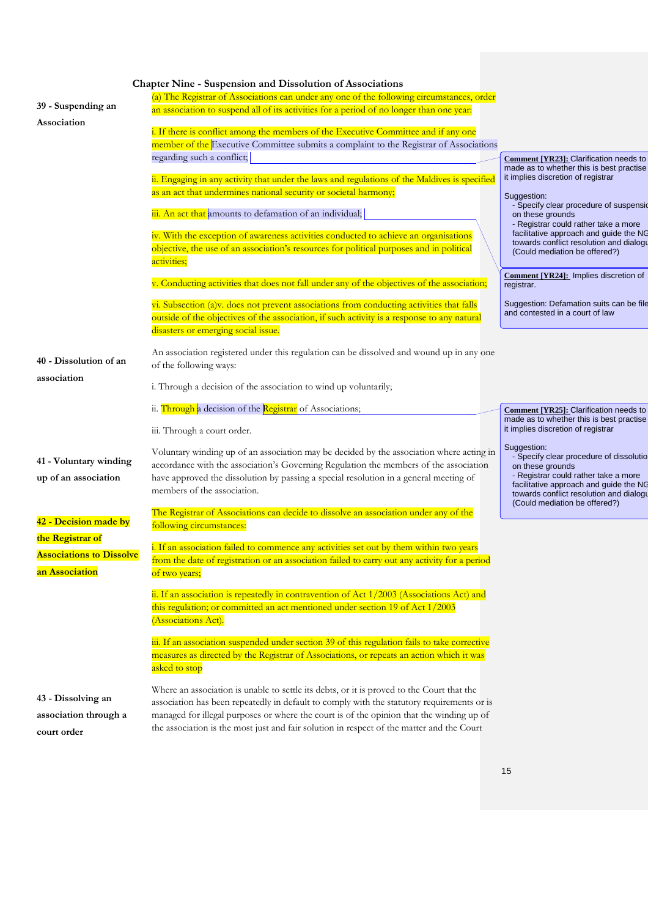|                                                                       | <b>Chapter Nine - Suspension and Dissolution of Associations</b>                                                                                                                                                                                                                                                                                                                 |                                                                                                                                                                                                                                          |
|-----------------------------------------------------------------------|----------------------------------------------------------------------------------------------------------------------------------------------------------------------------------------------------------------------------------------------------------------------------------------------------------------------------------------------------------------------------------|------------------------------------------------------------------------------------------------------------------------------------------------------------------------------------------------------------------------------------------|
| 39 - Suspending an                                                    | (a) The Registrar of Associations can under any one of the following circumstances, order<br>an association to suspend all of its activities for a period of no longer than one year.                                                                                                                                                                                            |                                                                                                                                                                                                                                          |
| Association                                                           | i. If there is conflict among the members of the Executive Committee and if any one<br>member of the Executive Committee submits a complaint to the Registrar of Associations                                                                                                                                                                                                    |                                                                                                                                                                                                                                          |
|                                                                       | regarding such a conflict;                                                                                                                                                                                                                                                                                                                                                       | Comment [YR23]: Clarification needs to<br>made as to whether this is best practise<br>it implies discretion of registrar                                                                                                                 |
|                                                                       | ii. Engaging in any activity that under the laws and regulations of the Maldives is specified<br>as an act that undermines national security or societal harmony;                                                                                                                                                                                                                | Suggestion:                                                                                                                                                                                                                              |
|                                                                       | iii. An act that amounts to defamation of an individual;                                                                                                                                                                                                                                                                                                                         | - Specify clear procedure of suspensid<br>on these grounds<br>- Registrar could rather take a more                                                                                                                                       |
|                                                                       | iv. With the exception of awareness activities conducted to achieve an organisations<br>objective, the use of an association's resources for political purposes and in political<br>activities;                                                                                                                                                                                  | facilitative approach and guide the NG<br>towards conflict resolution and dialogu<br>(Could mediation be offered?)                                                                                                                       |
|                                                                       | v. Conducting activities that does not fall under any of the objectives of the association;                                                                                                                                                                                                                                                                                      | <b>Comment [YR24]:</b> Implies discretion of<br>registrar.                                                                                                                                                                               |
|                                                                       | vi. Subsection (a)v. does not prevent associations from conducting activities that falls<br>outside of the objectives of the association, if such activity is a response to any natural<br>disasters or emerging social issue.                                                                                                                                                   | Suggestion: Defamation suits can be file<br>and contested in a court of law                                                                                                                                                              |
| 40 - Dissolution of an                                                | An association registered under this regulation can be dissolved and wound up in any one<br>of the following ways:                                                                                                                                                                                                                                                               |                                                                                                                                                                                                                                          |
| association                                                           | i. Through a decision of the association to wind up voluntarily;                                                                                                                                                                                                                                                                                                                 |                                                                                                                                                                                                                                          |
|                                                                       | ii. Through a decision of the Registrar of Associations;                                                                                                                                                                                                                                                                                                                         | Comment [YR25]: Clarification needs to<br>made as to whether this is best practise                                                                                                                                                       |
|                                                                       | iii. Through a court order.                                                                                                                                                                                                                                                                                                                                                      | it implies discretion of registrar                                                                                                                                                                                                       |
| 41 - Voluntary winding<br>up of an association                        | Voluntary winding up of an association may be decided by the association where acting in<br>accordance with the association's Governing Regulation the members of the association<br>have approved the dissolution by passing a special resolution in a general meeting of<br>members of the association.                                                                        | Suggestion:<br>- Specify clear procedure of dissolutio<br>on these grounds<br>- Registrar could rather take a more<br>facilitative approach and guide the NG<br>towards conflict resolution and dialogu<br>(Could mediation be offered?) |
| 42 - Decision made by                                                 | The Registrar of Associations can decide to dissolve an association under any of the<br>following circumstances:                                                                                                                                                                                                                                                                 |                                                                                                                                                                                                                                          |
| the Registrar of<br><b>Associations to Dissolve</b><br>an Association | i. If an association failed to commence any activities set out by them within two years<br>from the date of registration or an association failed to carry out any activity for a period<br>of two years;                                                                                                                                                                        |                                                                                                                                                                                                                                          |
|                                                                       | ii. If an association is repeatedly in contravention of Act 1/2003 (Associations Act) and<br>this regulation; or committed an act mentioned under section 19 of Act 1/2003<br>(Associations Act).                                                                                                                                                                                |                                                                                                                                                                                                                                          |
|                                                                       | iii. If an association suspended under section 39 of this regulation fails to take corrective<br>measures as directed by the Registrar of Associations, or repeats an action which it was<br>asked to stop                                                                                                                                                                       |                                                                                                                                                                                                                                          |
| 43 - Dissolving an<br>association through a<br>court order            | Where an association is unable to settle its debts, or it is proved to the Court that the<br>association has been repeatedly in default to comply with the statutory requirements or is<br>managed for illegal purposes or where the court is of the opinion that the winding up of<br>the association is the most just and fair solution in respect of the matter and the Court |                                                                                                                                                                                                                                          |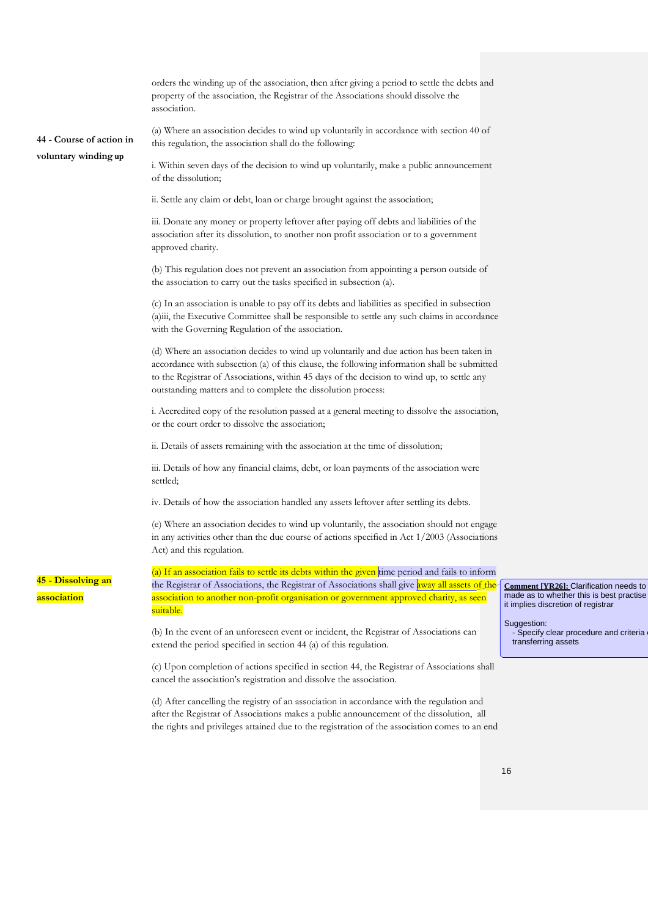|                                                  | orders the winding up of the association, then after giving a period to settle the debts and<br>property of the association, the Registrar of the Associations should dissolve the<br>association.                                                                                                                                                    |                                                                                                                          |
|--------------------------------------------------|-------------------------------------------------------------------------------------------------------------------------------------------------------------------------------------------------------------------------------------------------------------------------------------------------------------------------------------------------------|--------------------------------------------------------------------------------------------------------------------------|
| 44 - Course of action in<br>voluntary winding up | (a) Where an association decides to wind up voluntarily in accordance with section 40 of<br>this regulation, the association shall do the following:                                                                                                                                                                                                  |                                                                                                                          |
|                                                  | i. Within seven days of the decision to wind up voluntarily, make a public announcement<br>of the dissolution;                                                                                                                                                                                                                                        |                                                                                                                          |
|                                                  | ii. Settle any claim or debt, loan or charge brought against the association;                                                                                                                                                                                                                                                                         |                                                                                                                          |
|                                                  | iii. Donate any money or property leftover after paying off debts and liabilities of the<br>association after its dissolution, to another non profit association or to a government<br>approved charity.                                                                                                                                              |                                                                                                                          |
|                                                  | (b) This regulation does not prevent an association from appointing a person outside of<br>the association to carry out the tasks specified in subsection (a).                                                                                                                                                                                        |                                                                                                                          |
|                                                  | (c) In an association is unable to pay off its debts and liabilities as specified in subsection<br>(a)iii, the Executive Committee shall be responsible to settle any such claims in accordance<br>with the Governing Regulation of the association.                                                                                                  |                                                                                                                          |
|                                                  | (d) Where an association decides to wind up voluntarily and due action has been taken in<br>accordance with subsection (a) of this clause, the following information shall be submitted<br>to the Registrar of Associations, within 45 days of the decision to wind up, to settle any<br>outstanding matters and to complete the dissolution process: |                                                                                                                          |
|                                                  | i. Accredited copy of the resolution passed at a general meeting to dissolve the association,<br>or the court order to dissolve the association;                                                                                                                                                                                                      |                                                                                                                          |
|                                                  | ii. Details of assets remaining with the association at the time of dissolution;                                                                                                                                                                                                                                                                      |                                                                                                                          |
|                                                  | iii. Details of how any financial claims, debt, or loan payments of the association were<br>settled;                                                                                                                                                                                                                                                  |                                                                                                                          |
|                                                  | iv. Details of how the association handled any assets leftover after settling its debts.                                                                                                                                                                                                                                                              |                                                                                                                          |
|                                                  | (e) Where an association decides to wind up voluntarily, the association should not engage<br>in any activities other than the due course of actions specified in Act 1/2003 (Associations<br>Act) and this regulation.                                                                                                                               |                                                                                                                          |
| <mark>45 - Dissolving an</mark>                  | (a) If an association fails to settle its debts within the given time period and fails to inform<br>the Registrar of Associations, the Registrar of Associations shall give away all assets of the-                                                                                                                                                   |                                                                                                                          |
| <mark>association</mark>                         | association to another non-profit organisation or government approved charity, as seen<br>suitable.                                                                                                                                                                                                                                                   | Comment [YR26]: Clarification needs to<br>made as to whether this is best practise<br>it implies discretion of registrar |
|                                                  | (b) In the event of an unforeseen event or incident, the Registrar of Associations can<br>extend the period specified in section 44 (a) of this regulation.                                                                                                                                                                                           | Suggestion:<br>- Specify clear procedure and criteria<br>transferring assets                                             |
|                                                  | (c) Upon completion of actions specified in section 44, the Registrar of Associations shall                                                                                                                                                                                                                                                           |                                                                                                                          |

(d) After cancelling the registry of an association in accordance with the regulation and after the Registrar of Associations makes a public announcement of the dissolution, all the rights and privileges attained due to the registration of the association comes to an end

cancel the association's registration and dissolve the association.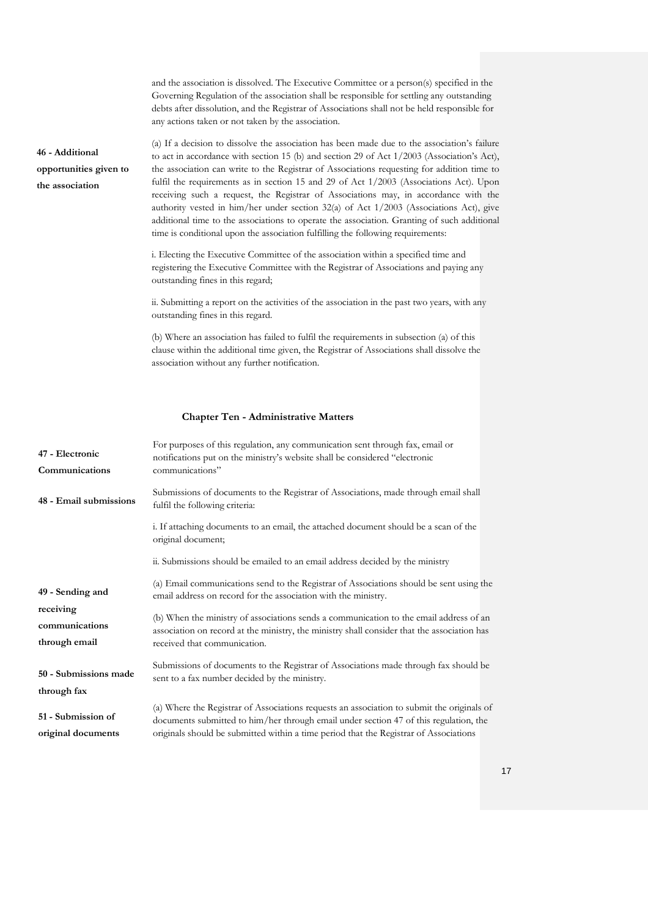|                                                              | and the association is dissolved. The Executive Committee or a person(s) specified in the<br>Governing Regulation of the association shall be responsible for settling any outstanding<br>debts after dissolution, and the Registrar of Associations shall not be held responsible for<br>any actions taken or not taken by the association.                                                                                                                                                                                                                                                                                                                                                                                                                |
|--------------------------------------------------------------|-------------------------------------------------------------------------------------------------------------------------------------------------------------------------------------------------------------------------------------------------------------------------------------------------------------------------------------------------------------------------------------------------------------------------------------------------------------------------------------------------------------------------------------------------------------------------------------------------------------------------------------------------------------------------------------------------------------------------------------------------------------|
| 46 - Additional<br>opportunities given to<br>the association | (a) If a decision to dissolve the association has been made due to the association's failure<br>to act in accordance with section 15 (b) and section 29 of Act $1/2003$ (Association's Act),<br>the association can write to the Registrar of Associations requesting for addition time to<br>fulfil the requirements as in section 15 and 29 of Act 1/2003 (Associations Act). Upon<br>receiving such a request, the Registrar of Associations may, in accordance with the<br>authority vested in him/her under section $32(a)$ of Act $1/2003$ (Associations Act), give<br>additional time to the associations to operate the association. Granting of such additional<br>time is conditional upon the association fulfilling the following requirements: |
|                                                              | i. Electing the Executive Committee of the association within a specified time and<br>registering the Executive Committee with the Registrar of Associations and paying any<br>outstanding fines in this regard;                                                                                                                                                                                                                                                                                                                                                                                                                                                                                                                                            |
|                                                              | ii. Submitting a report on the activities of the association in the past two years, with any<br>outstanding fines in this regard.                                                                                                                                                                                                                                                                                                                                                                                                                                                                                                                                                                                                                           |
|                                                              | (b) Where an association has failed to fulfil the requirements in subsection (a) of this<br>clause within the additional time given, the Registrar of Associations shall dissolve the<br>association without any further notification.                                                                                                                                                                                                                                                                                                                                                                                                                                                                                                                      |

## **Chapter Ten - Administrative Matters**

| 47 - Electronic<br>Communications            | For purposes of this regulation, any communication sent through fax, email or<br>notifications put on the ministry's website shall be considered "electronic<br>communications"                                                                                              |
|----------------------------------------------|------------------------------------------------------------------------------------------------------------------------------------------------------------------------------------------------------------------------------------------------------------------------------|
| 48 - Email submissions                       | Submissions of documents to the Registrar of Associations, made through email shall<br>fulfil the following criteria:                                                                                                                                                        |
|                                              | i. If attaching documents to an email, the attached document should be a scan of the<br>original document;                                                                                                                                                                   |
|                                              | ii. Submissions should be emailed to an email address decided by the ministry                                                                                                                                                                                                |
| 49 - Sending and                             | (a) Email communications send to the Registrar of Associations should be sent using the<br>email address on record for the association with the ministry.                                                                                                                    |
| receiving<br>communications<br>through email | (b) When the ministry of associations sends a communication to the email address of an<br>association on record at the ministry, the ministry shall consider that the association has<br>received that communication.                                                        |
| 50 - Submissions made<br>through fax         | Submissions of documents to the Registrar of Associations made through fax should be<br>sent to a fax number decided by the ministry.                                                                                                                                        |
| 51 - Submission of<br>original documents     | (a) Where the Registrar of Associations requests an association to submit the originals of<br>documents submitted to him/her through email under section 47 of this regulation, the<br>originals should be submitted within a time period that the Registrar of Associations |